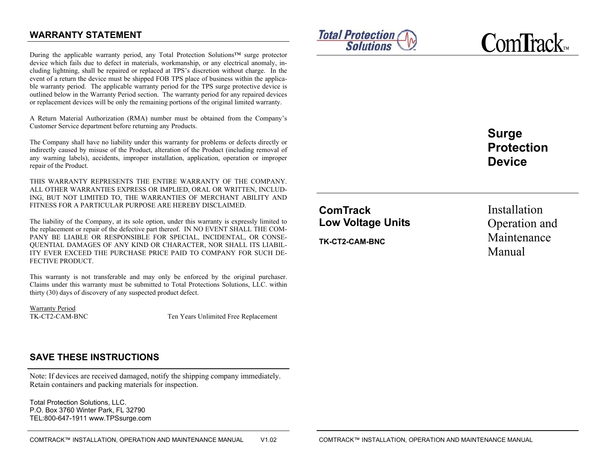# **WARRANTY STATEMENT**

During the applicable warranty period, any Total Protection Solutions™ surge protector device which fails due to defect in materials, workmanship, or any electrical anomaly, including lightning, shall be repaired or replaced at TPS's discretion without charge. In the event of a return the device must be shipped FOB TPS place of business within the applicable warranty period. The applicable warranty period for the TPS surge protective device is outlined below in the Warranty Period section. The warranty period for any repaired devices or replacement devices will be only the remaining portions of the original limited warranty.

A Return Material Authorization (RMA) number must be obtained from the Company's Customer Service department before returning any Products.

The Company shall have no liability under this warranty for problems or defects directly or indirectly caused by misuse of the Product, alteration of the Product (including removal of any warning labels), accidents, improper installation, application, operation or improper repair of the Product.

THIS WARRANTY REPRESENTS THE ENTIRE WARRANTY OF THE COMPANY. ALL OTHER WARRANTIES EXPRESS OR IMPLIED, ORAL OR WRITTEN, INCLUD-ING, BUT NOT LIMITED TO, THE WARRANTIES OF MERCHANT ABILITY AND FITNESS FOR A PARTICULAR PURPOSE ARE HEREBY DISCLAIMED.

The liability of the Company, at its sole option, under this warranty is expressly limited to the replacement or repair of the defective part thereof. IN NO EVENT SHALL THE COM-PANY BE LIABLE OR RESPONSIBLE FOR SPECIAL, INCIDENTAL, OR CONSE-QUENTIAL DAMAGES OF ANY KIND OR CHARACTER, NOR SHALL ITS LIABIL-ITY EVER EXCEED THE PURCHASE PRICE PAID TO COMPANY FOR SUCH DE-FECTIVE PRODUCT.

This warranty is not transferable and may only be enforced by the original purchaser. Claims under this warranty must be submitted to Total Protections Solutions, LLC. within thirty (30) days of discovery of any suspected product defect.

Warranty Period<br>TK-CT2-CAM-BNC

Ten Years Unlimited Free Replacement

# **SAVE THESE INSTRUCTIONS**

Note: If devices are received damaged, notify the shipping company immediately. Retain containers and packing materials for inspection.

Total Protection Solutions, LLC. P.O. Box 3760 Winter Park, FL 32790TEL:800-647-1911 www.TPSsurge.com





**Surge Protection Device** 

**ComTrack Low Voltage Units** 

**TK-CT2-CAM-BNC**

Installation Operation and Maintenance Manual